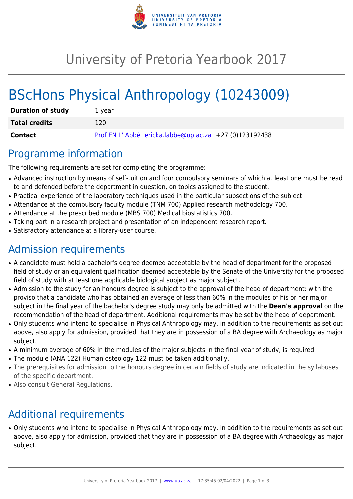

## University of Pretoria Yearbook 2017

# BScHons Physical Anthropology (10243009)

| <b>Duration of study</b> | 1 year                                                |
|--------------------------|-------------------------------------------------------|
| <b>Total credits</b>     | 120                                                   |
| <b>Contact</b>           | Prof EN L'Abbé ericka.labbe@up.ac.za +27 (0)123192438 |

#### Programme information

The following requirements are set for completing the programme:

- Advanced instruction by means of self-tuition and four compulsory seminars of which at least one must be read to and defended before the department in question, on topics assigned to the student.
- Practical experience of the laboratory techniques used in the particular subsections of the subject.
- Attendance at the compulsory faculty module (TNM 700) Applied research methodology 700.
- Attendance at the prescribed module (MBS 700) Medical biostatistics 700.
- Taking part in a research project and presentation of an independent research report.
- Satisfactory attendance at a library-user course.

### Admission requirements

- A candidate must hold a bachelor's degree deemed acceptable by the head of department for the proposed field of study or an equivalent qualification deemed acceptable by the Senate of the University for the proposed field of study with at least one applicable biological subject as major subject.
- Admission to the study for an honours degree is subject to the approval of the head of department: with the proviso that a candidate who has obtained an average of less than 60% in the modules of his or her major subject in the final year of the bachelor's degree study may only be admitted with the **Dean's approval** on the recommendation of the head of department. Additional requirements may be set by the head of department.
- Only students who intend to specialise in Physical Anthropology may, in addition to the requirements as set out above, also apply for admission, provided that they are in possession of a BA degree with Archaeology as major subject.
- A minimum average of 60% in the modules of the major subjects in the final year of study, is required.
- The module (ANA 122) Human osteology 122 must be taken additionally.
- The prerequisites for admission to the honours degree in certain fields of study are indicated in the syllabuses of the specific department.
- Also consult General Regulations.

### Additional requirements

• Only students who intend to specialise in Physical Anthropology may, in addition to the requirements as set out above, also apply for admission, provided that they are in possession of a BA degree with Archaeology as major subject.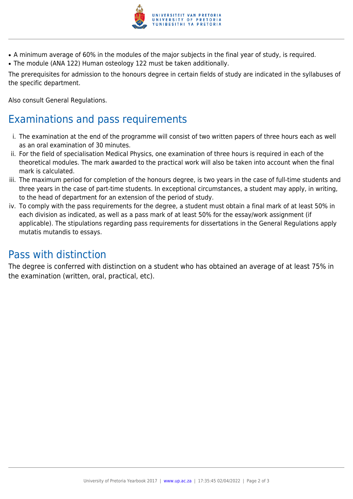

- A minimum average of 60% in the modules of the major subjects in the final year of study, is required.
- The module (ANA 122) Human osteology 122 must be taken additionally.

The prerequisites for admission to the honours degree in certain fields of study are indicated in the syllabuses of the specific department.

Also consult General Regulations.

### Examinations and pass requirements

- i. The examination at the end of the programme will consist of two written papers of three hours each as well as an oral examination of 30 minutes.
- ii. For the field of specialisation Medical Physics, one examination of three hours is required in each of the theoretical modules. The mark awarded to the practical work will also be taken into account when the final mark is calculated.
- iii. The maximum period for completion of the honours degree, is two years in the case of full-time students and three years in the case of part-time students. In exceptional circumstances, a student may apply, in writing, to the head of department for an extension of the period of study.
- iv. To comply with the pass requirements for the degree, a student must obtain a final mark of at least 50% in each division as indicated, as well as a pass mark of at least 50% for the essay/work assignment (if applicable). The stipulations regarding pass requirements for dissertations in the General Regulations apply mutatis mutandis to essays.

#### Pass with distinction

The degree is conferred with distinction on a student who has obtained an average of at least 75% in the examination (written, oral, practical, etc).